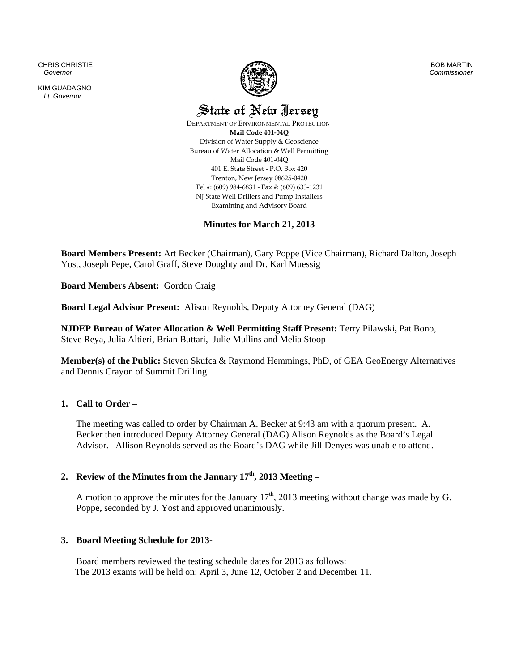CHRIS CHRISTIE  *Governor* 

KIM GUADAGNO *Lt. Governor* 



BOB MARTIN *Commissioner*

State of New Jersey

 DEPARTMENT OF ENVIRONMENTAL PROTECTION **Mail Code 401‐04Q** Division of Water Supply & Geoscience Bureau of Water Allocation & Well Permitting Mail Code 401‐04Q 401 E. State Street ‐ P.O. Box 420 Trenton, New Jersey 08625‐0420 Tel #: (609) 984‐6831 ‐ Fax #: (609) 633‐1231 NJ State Well Drillers and Pump Installers Examining and Advisory Board

# **Minutes for March 21, 2013**

**Board Members Present:** Art Becker (Chairman), Gary Poppe (Vice Chairman), Richard Dalton, Joseph Yost, Joseph Pepe, Carol Graff, Steve Doughty and Dr. Karl Muessig

**Board Members Absent:** Gordon Craig

**Board Legal Advisor Present:** Alison Reynolds, Deputy Attorney General (DAG)

**NJDEP Bureau of Water Allocation & Well Permitting Staff Present:** Terry Pilawski**,** Pat Bono, Steve Reya, Julia Altieri, Brian Buttari, Julie Mullins and Melia Stoop

**Member(s) of the Public:** Steven Skufca & Raymond Hemmings, PhD, of GEA GeoEnergy Alternatives and Dennis Crayon of Summit Drilling

# **1. Call to Order –**

The meeting was called to order by Chairman A. Becker at 9:43 am with a quorum present. A. Becker then introduced Deputy Attorney General (DAG) Alison Reynolds as the Board's Legal Advisor. Allison Reynolds served as the Board's DAG while Jill Denyes was unable to attend.

# **2. Review of the Minutes from the January 17th, 2013 Meeting –**

A motion to approve the minutes for the January  $17<sup>th</sup>$ , 2013 meeting without change was made by G. Poppe**,** seconded by J. Yost and approved unanimously.

# **3. Board Meeting Schedule for 2013-**

Board members reviewed the testing schedule dates for 2013 as follows: The 2013 exams will be held on: April 3, June 12, October 2 and December 11.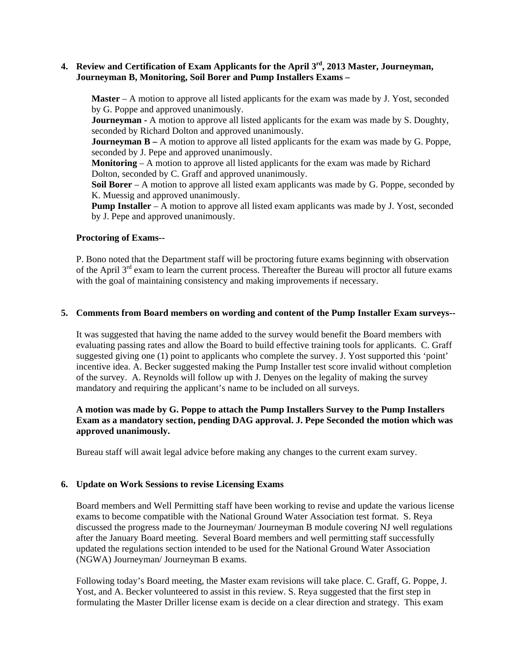# **4. Review and Certification of Exam Applicants for the April 3rd, 2013 Master, Journeyman, Journeyman B, Monitoring, Soil Borer and Pump Installers Exams –**

**Master** – A motion to approve all listed applicants for the exam was made by J. Yost, seconded by G. Poppe and approved unanimously.

**Journeyman -** A motion to approve all listed applicants for the exam was made by S. Doughty, seconded by Richard Dolton and approved unanimously.

**Journeyman B** – A motion to approve all listed applicants for the exam was made by G. Poppe, seconded by J. Pepe and approved unanimously.

**Monitoring** – A motion to approve all listed applicants for the exam was made by Richard Dolton, seconded by C. Graff and approved unanimously.

**Soil Borer** – A motion to approve all listed exam applicants was made by G. Poppe, seconded by K. Muessig and approved unanimously.

**Pump Installer** – A motion to approve all listed exam applicants was made by J. Yost, seconded by J. Pepe and approved unanimously.

#### **Proctoring of Exams--**

P. Bono noted that the Department staff will be proctoring future exams beginning with observation of the April  $3<sup>rd</sup>$  exam to learn the current process. Thereafter the Bureau will proctor all future exams with the goal of maintaining consistency and making improvements if necessary.

#### **5. Comments from Board members on wording and content of the Pump Installer Exam surveys--**

It was suggested that having the name added to the survey would benefit the Board members with evaluating passing rates and allow the Board to build effective training tools for applicants. C. Graff suggested giving one (1) point to applicants who complete the survey. J. Yost supported this 'point' incentive idea. A. Becker suggested making the Pump Installer test score invalid without completion of the survey. A. Reynolds will follow up with J. Denyes on the legality of making the survey mandatory and requiring the applicant's name to be included on all surveys.

# **A motion was made by G. Poppe to attach the Pump Installers Survey to the Pump Installers Exam as a mandatory section, pending DAG approval. J. Pepe Seconded the motion which was approved unanimously.**

Bureau staff will await legal advice before making any changes to the current exam survey.

# **6. Update on Work Sessions to revise Licensing Exams**

Board members and Well Permitting staff have been working to revise and update the various license exams to become compatible with the National Ground Water Association test format. S. Reya discussed the progress made to the Journeyman/ Journeyman B module covering NJ well regulations after the January Board meeting.Several Board members and well permitting staff successfully updated the regulations section intended to be used for the National Ground Water Association (NGWA) Journeyman/ Journeyman B exams.

Following today's Board meeting, the Master exam revisions will take place. C. Graff, G. Poppe, J. Yost, and A. Becker volunteered to assist in this review. S. Reya suggested that the first step in formulating the Master Driller license exam is decide on a clear direction and strategy. This exam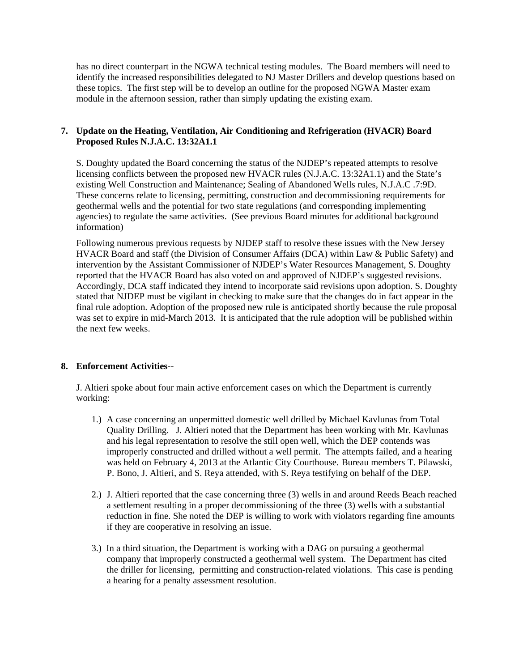has no direct counterpart in the NGWA technical testing modules. The Board members will need to identify the increased responsibilities delegated to NJ Master Drillers and develop questions based on these topics. The first step will be to develop an outline for the proposed NGWA Master exam module in the afternoon session, rather than simply updating the existing exam.

# **7. Update on the Heating, Ventilation, Air Conditioning and Refrigeration (HVACR) Board Proposed Rules N.J.A.C. 13:32A1.1**

S. Doughty updated the Board concerning the status of the NJDEP's repeated attempts to resolve licensing conflicts between the proposed new HVACR rules (N.J.A.C. 13:32A1.1) and the State's existing Well Construction and Maintenance; Sealing of Abandoned Wells rules, N.J.A.C .7:9D. These concerns relate to licensing, permitting, construction and decommissioning requirements for geothermal wells and the potential for two state regulations (and corresponding implementing agencies) to regulate the same activities. (See previous Board minutes for additional background information)

Following numerous previous requests by NJDEP staff to resolve these issues with the New Jersey HVACR Board and staff (the Division of Consumer Affairs (DCA) within Law & Public Safety) and intervention by the Assistant Commissioner of NJDEP's Water Resources Management, S. Doughty reported that the HVACR Board has also voted on and approved of NJDEP's suggested revisions. Accordingly, DCA staff indicated they intend to incorporate said revisions upon adoption. S. Doughty stated that NJDEP must be vigilant in checking to make sure that the changes do in fact appear in the final rule adoption. Adoption of the proposed new rule is anticipated shortly because the rule proposal was set to expire in mid-March 2013. It is anticipated that the rule adoption will be published within the next few weeks.

# **8. Enforcement Activities--**

J. Altieri spoke about four main active enforcement cases on which the Department is currently working:

- 1.) A case concerning an unpermitted domestic well drilled by Michael Kavlunas from Total Quality Drilling. J. Altieri noted that the Department has been working with Mr. Kavlunas and his legal representation to resolve the still open well, which the DEP contends was improperly constructed and drilled without a well permit. The attempts failed, and a hearing was held on February 4, 2013 at the Atlantic City Courthouse. Bureau members T. Pilawski, P. Bono, J. Altieri, and S. Reya attended, with S. Reya testifying on behalf of the DEP.
- 2.) J. Altieri reported that the case concerning three (3) wells in and around Reeds Beach reached a settlement resulting in a proper decommissioning of the three (3) wells with a substantial reduction in fine. She noted the DEP is willing to work with violators regarding fine amounts if they are cooperative in resolving an issue.
- 3.) In a third situation, the Department is working with a DAG on pursuing a geothermal company that improperly constructed a geothermal well system. The Department has cited the driller for licensing, permitting and construction-related violations. This case is pending a hearing for a penalty assessment resolution.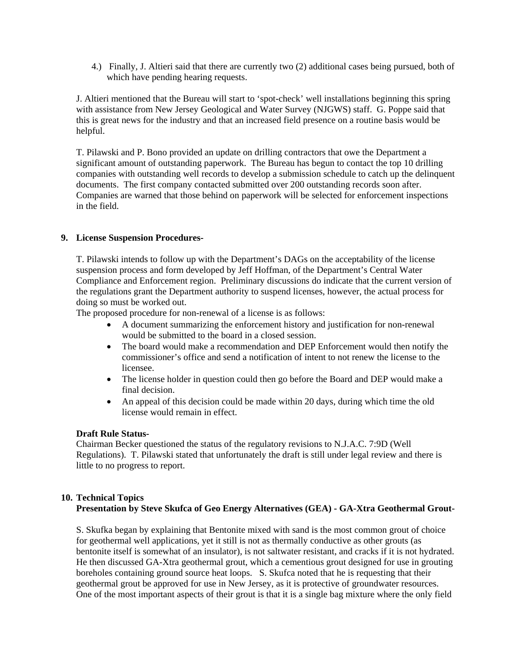4.) Finally, J. Altieri said that there are currently two (2) additional cases being pursued, both of which have pending hearing requests.

J. Altieri mentioned that the Bureau will start to 'spot-check' well installations beginning this spring with assistance from New Jersey Geological and Water Survey (NJGWS) staff. G. Poppe said that this is great news for the industry and that an increased field presence on a routine basis would be helpful.

T. Pilawski and P. Bono provided an update on drilling contractors that owe the Department a significant amount of outstanding paperwork. The Bureau has begun to contact the top 10 drilling companies with outstanding well records to develop a submission schedule to catch up the delinquent documents. The first company contacted submitted over 200 outstanding records soon after. Companies are warned that those behind on paperwork will be selected for enforcement inspections in the field.

# **9. License Suspension Procedures-**

T. Pilawski intends to follow up with the Department's DAGs on the acceptability of the license suspension process and form developed by Jeff Hoffman, of the Department's Central Water Compliance and Enforcement region. Preliminary discussions do indicate that the current version of the regulations grant the Department authority to suspend licenses, however, the actual process for doing so must be worked out.

The proposed procedure for non-renewal of a license is as follows:

- A document summarizing the enforcement history and justification for non-renewal would be submitted to the board in a closed session.
- The board would make a recommendation and DEP Enforcement would then notify the commissioner's office and send a notification of intent to not renew the license to the licensee.
- The license holder in question could then go before the Board and DEP would make a final decision.
- An appeal of this decision could be made within 20 days, during which time the old license would remain in effect.

# **Draft Rule Status-**

Chairman Becker questioned the status of the regulatory revisions to N.J.A.C. 7:9D (Well Regulations). T. Pilawski stated that unfortunately the draft is still under legal review and there is little to no progress to report.

# **10. Technical Topics Presentation by Steve Skufca of Geo Energy Alternatives (GEA) - GA-Xtra Geothermal Grout-**

S. Skufka began by explaining that Bentonite mixed with sand is the most common grout of choice for geothermal well applications, yet it still is not as thermally conductive as other grouts (as bentonite itself is somewhat of an insulator), is not saltwater resistant, and cracks if it is not hydrated. He then discussed GA-Xtra geothermal grout, which a cementious grout designed for use in grouting boreholes containing ground source heat loops. S. Skufca noted that he is requesting that their geothermal grout be approved for use in New Jersey, as it is protective of groundwater resources. One of the most important aspects of their grout is that it is a single bag mixture where the only field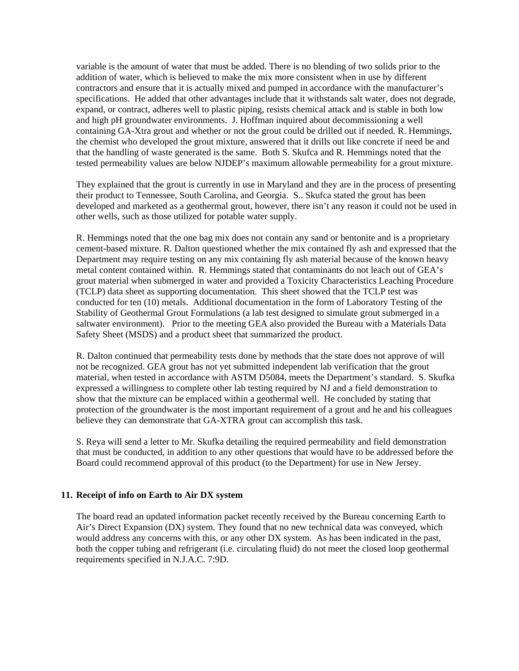variable is the amount of water that must be added. There is no blending of two solids prior to the addition of water, which is believed to make the mix more consistent when in use by different contractors and ensure that it is actually mixed and pumped in accordance with the manufacturer's specifications. He added that other advantages include that it withstands salt water, does not degrade, expand, or contract, adheres well to plastic piping, resists chemical attack and is stable in both low and high pH groundwater environments. J. Hoffman inquired about decommissioning a well containing GA-Xtra grout and whether or not the grout could be drilled out if needed. R. Hemmings, the chemist who developed the grout mixture, answered that it drills out like concrete if need be and that the handling of waste generated is the same. Both S. Skufca and R. Hemmings noted that the tested permeability values are below NJDEP's maximum allowable permeability for a grout mixture.

They explained that the grout is currently in use in Maryland and they are in the process of presenting their product to Tennessee, South Carolina, and Georgia. S.. Skufca stated the grout has been developed and marketed as a geothermal grout, however, there isn't any reason it could not be used in other wells, such as those utilized for potable water supply.

R. Hemmings noted that the one bag mix does not contain any sand or bentonite and is a proprietary cement-based mixture. R. Dalton questioned whether the mix contained fly ash and expressed that the Department may require testing on any mix containing fly ash material because of the known heavy metal content contained within. R. Hemmings stated that contaminants do not leach out of GEA's grout material when submerged in water and provided a Toxicity Characteristics Leaching Procedure (TCLP) data sheet as supporting documentation. This sheet showed that the TCLP test was conducted for ten (10) metals. Additional documentation in the form of Laboratory Testing of the Stability of Geothermal Grout Formulations (a lab test designed to simulate grout submerged in a saltwater environment). Prior to the meeting GEA also provided the Bureau with a Materials Data Safety Sheet (MSDS) and a product sheet that summarized the product.

R. Dalton continued that permeability tests done by methods that the state does not approve of will not be recognized. GEA grout has not yet submitted independent lab verification that the grout material, when tested in accordance with ASTM D5084, meets the Department's standard. S. Skufka expressed a willingness to complete other lab testing required by NJ and a field demonstration to show that the mixture can be emplaced within a geothermal well. He concluded by stating that protection of the groundwater is the most important requirement of a grout and he and his colleagues believe they can demonstrate that GA-XTRA grout can accomplish this task.

S. Reya will send a letter to Mr. Skufka detailing the required permeability and field demonstration that must be conducted, in addition to any other questions that would have to be addressed before the Board could recommend approval of this product (to the Department) for use in New Jersey.

# **11. Receipt of info on Earth to Air DX system**

The board read an updated information packet recently received by the Bureau concerning Earth to Air's Direct Expansion (DX) system. They found that no new technical data was conveyed, which would address any concerns with this, or any other DX system. As has been indicated in the past, both the copper tubing and refrigerant (i.e. circulating fluid) do not meet the closed loop geothermal requirements specified in N.J.A.C. 7:9D.